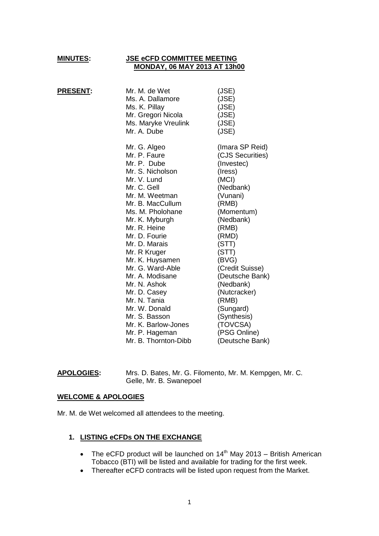#### **MINUTES: JSE eCFD COMMITTEE MEETING MONDAY, 06 MAY 2013 AT 13h00**

| <b>PRESENT:</b> | Mr. M. de Wet<br>Ms. A. Dallamore<br>Ms. K. Pillay<br>Mr. Gregori Nicola<br>Ms. Maryke Vreulink<br>Mr. A. Dube                      | (JSE)<br>(JSE)<br>(JSE)<br>(JSE)<br>(JSE)<br>(JSE)                                                      |
|-----------------|-------------------------------------------------------------------------------------------------------------------------------------|---------------------------------------------------------------------------------------------------------|
|                 | Mr. G. Algeo<br>Mr. P. Faure<br>Mr. P. Dube<br>Mr. S. Nicholson<br>Mr. V. Lund<br>Mr. C. Gell<br>Mr. M. Weetman<br>Mr. B. MacCullum | (Imara SP Reid)<br>(CJS Securities)<br>(Investec)<br>(Iress)<br>(MCI)<br>(Nedbank)<br>(Vunani)<br>(RMB) |
|                 | Ms. M. Pholohane<br>Mr. K. Myburgh<br>Mr. R. Heine<br>Mr. D. Fourie                                                                 | (Momentum)<br>(Nedbank)<br>(RMB)<br>(RMD)                                                               |
|                 | Mr. D. Marais<br>Mr. R Kruger<br>Mr. K. Huysamen<br>Mr. G. Ward-Able<br>Mr. A. Modisane                                             | (STT)<br>(STT)<br>(BVG)<br>(Credit Suisse)<br>(Deutsche Bank)                                           |
|                 | Mr. N. Ashok<br>Mr. D. Casey<br>Mr. N. Tania<br>Mr. W. Donald                                                                       | (Nedbank)<br>(Nutcracker)<br>(RMB)<br>(Sungard)                                                         |
|                 | Mr. S. Basson<br>Mr. K. Barlow-Jones<br>Mr. P. Hageman<br>Mr. B. Thornton-Dibb                                                      | (Synthesis)<br>(TOVCSA)<br>(PSG Online)<br>(Deutsche Bank)                                              |

**APOLOGIES:** Mrs. D. Bates, Mr. G. Filomento, Mr. M. Kempgen, Mr. C. Gelle, Mr. B. Swanepoel

#### **WELCOME & APOLOGIES**

Mr. M. de Wet welcomed all attendees to the meeting.

# **1. LISTING eCFDs ON THE EXCHANGE**

- The eCFD product will be launched on  $14<sup>th</sup>$  May 2013 British American Tobacco (BTI) will be listed and available for trading for the first week.
- Thereafter eCFD contracts will be listed upon request from the Market.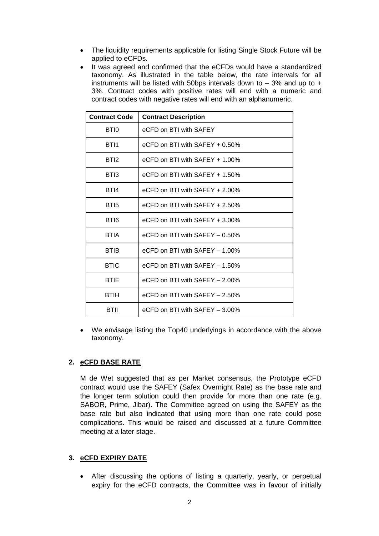- The liquidity requirements applicable for listing Single Stock Future will be applied to eCFDs.
- It was agreed and confirmed that the eCFDs would have a standardized taxonomy. As illustrated in the table below, the rate intervals for all instruments will be listed with 50bps intervals down to  $-3\%$  and up to  $+$ 3%. Contract codes with positive rates will end with a numeric and contract codes with negative rates will end with an alphanumeric.

| <b>Contract Code</b> | <b>Contract Description</b>       |  |
|----------------------|-----------------------------------|--|
| BTI0                 | eCFD on BTI with SAFEY            |  |
| BT <sub>11</sub>     | eCFD on BTI with $SAFEY + 0.50\%$ |  |
| BTI <sub>2</sub>     | eCFD on BTI with $SAFEY + 1.00\%$ |  |
| BTI3                 | eCFD on BTI with $SAFEY + 1.50\%$ |  |
| BTI4                 | eCFD on BTI with $SAFEY + 2.00\%$ |  |
| BTI5                 | eCFD on BTI with $SAFEY + 2.50\%$ |  |
| BTI6                 | eCFD on BTI with $SAFEY + 3.00\%$ |  |
| BTIA                 | eCFD on BTI with $SAFEY - 0.50\%$ |  |
| <b>BTIB</b>          | eCFD on BTI with $SAFEY - 1.00\%$ |  |
| <b>BTIC</b>          | eCFD on BTI with $SAFEY - 1.50\%$ |  |
| <b>BTIE</b>          | eCFD on BTI with $SAFEY - 2.00\%$ |  |
| BTIH                 | eCFD on BTI with $SAFEY - 2.50\%$ |  |
| BTII                 | eCFD on BTI with $SAFEY - 3.00\%$ |  |

 We envisage listing the Top40 underlyings in accordance with the above taxonomy.

### **2. eCFD BASE RATE**

M de Wet suggested that as per Market consensus, the Prototype eCFD contract would use the SAFEY (Safex Overnight Rate) as the base rate and the longer term solution could then provide for more than one rate (e.g. SABOR, Prime, Jibar). The Committee agreed on using the SAFEY as the base rate but also indicated that using more than one rate could pose complications. This would be raised and discussed at a future Committee meeting at a later stage.

## **3. eCFD EXPIRY DATE**

 After discussing the options of listing a quarterly, yearly, or perpetual expiry for the eCFD contracts, the Committee was in favour of initially